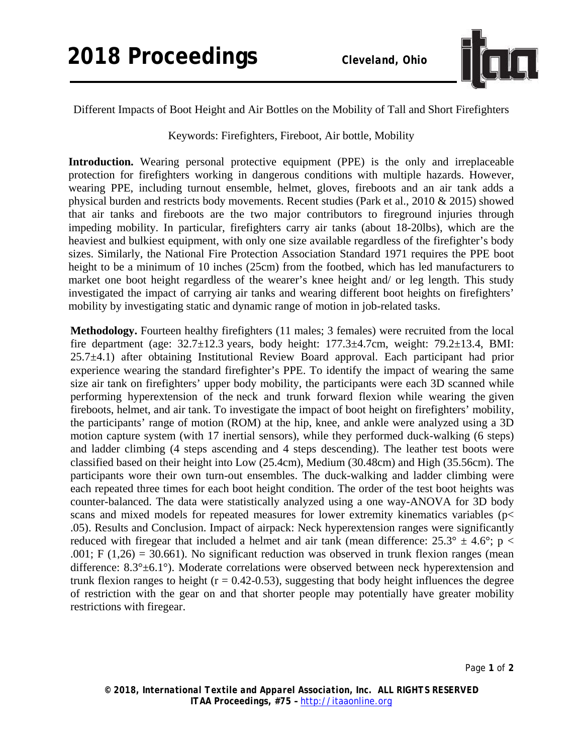

Different Impacts of Boot Height and Air Bottles on the Mobility of Tall and Short Firefighters

Keywords: Firefighters, Fireboot, Air bottle, Mobility

**Introduction.** Wearing personal protective equipment (PPE) is the only and irreplaceable protection for firefighters working in dangerous conditions with multiple hazards. However, wearing PPE, including turnout ensemble, helmet, gloves, fireboots and an air tank adds a physical burden and restricts body movements. Recent studies (Park et al., 2010 & 2015) showed that air tanks and fireboots are the two major contributors to fireground injuries through impeding mobility. In particular, firefighters carry air tanks (about 18-20lbs), which are the heaviest and bulkiest equipment, with only one size available regardless of the firefighter's body sizes. Similarly, the National Fire Protection Association Standard 1971 requires the PPE boot height to be a minimum of 10 inches (25cm) from the footbed, which has led manufacturers to market one boot height regardless of the wearer's knee height and/ or leg length. This study investigated the impact of carrying air tanks and wearing different boot heights on firefighters' mobility by investigating static and dynamic range of motion in job-related tasks.

**Methodology.** Fourteen healthy firefighters (11 males; 3 females) were recruited from the local fire department (age:  $32.7\pm12.3$  years, body height:  $177.3\pm4.7$ cm, weight:  $79.2\pm13.4$ , BMI: 25.7±4.1) after obtaining Institutional Review Board approval. Each participant had prior experience wearing the standard firefighter's PPE. To identify the impact of wearing the same size air tank on firefighters' upper body mobility, the participants were each 3D scanned while performing hyperextension of the neck and trunk forward flexion while wearing the given fireboots, helmet, and air tank. To investigate the impact of boot height on firefighters' mobility, the participants' range of motion (ROM) at the hip, knee, and ankle were analyzed using a 3D motion capture system (with 17 inertial sensors), while they performed duck-walking (6 steps) and ladder climbing (4 steps ascending and 4 steps descending). The leather test boots were classified based on their height into Low (25.4cm), Medium (30.48cm) and High (35.56cm). The participants wore their own turn-out ensembles. The duck-walking and ladder climbing were each repeated three times for each boot height condition. The order of the test boot heights was counter-balanced. The data were statistically analyzed using a one way-ANOVA for 3D body scans and mixed models for repeated measures for lower extremity kinematics variables (p< .05). Results and Conclusion. Impact of airpack: Neck hyperextension ranges were significantly reduced with firegear that included a helmet and air tank (mean difference:  $25.3^{\circ} \pm 4.6^{\circ}$ ; p < .001; F (1,26) = 30.661). No significant reduction was observed in trunk flexion ranges (mean difference: 8.3°±6.1°). Moderate correlations were observed between neck hyperextension and trunk flexion ranges to height ( $r = 0.42$ -0.53), suggesting that body height influences the degree of restriction with the gear on and that shorter people may potentially have greater mobility restrictions with firegear.